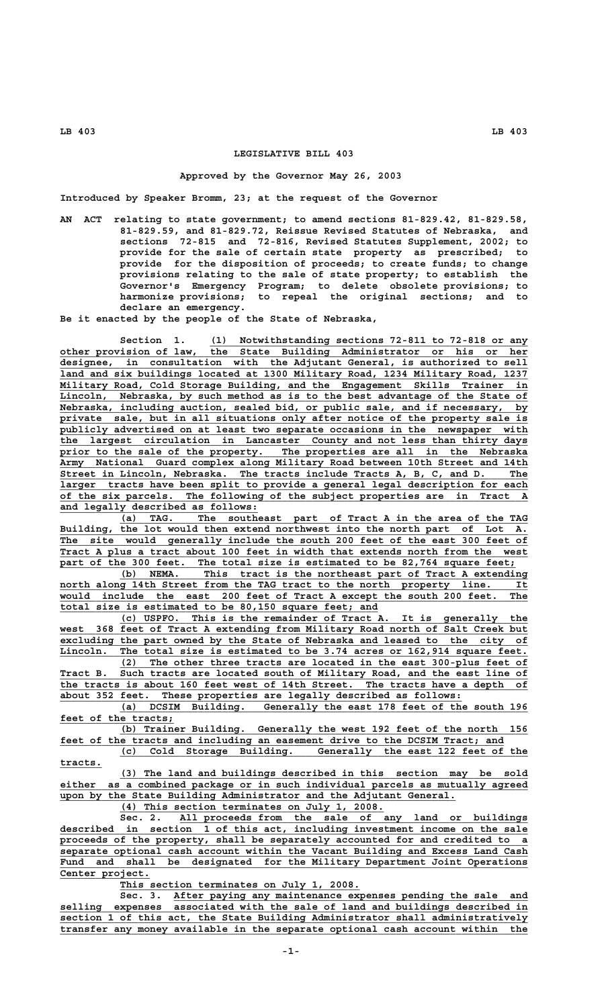## **LEGISLATIVE BILL 403**

## **Approved by the Governor May 26, 2003**

**Introduced by Speaker Bromm, 23; at the request of the Governor**

**AN ACT relating to state government; to amend sections 81-829.42, 81-829.58, 81-829.59, and 81-829.72, Reissue Revised Statutes of Nebraska, and sections 72-815 and 72-816, Revised Statutes Supplement, 2002; to provide for the sale of certain state property as prescribed; to provide for the disposition of proceeds; to create funds; to change provisions relating to the sale of state property; to establish the Governor's Emergency Program; to delete obsolete provisions; to harmonize provisions; to repeal the original sections; and to declare an emergency.**

**Be it enacted by the people of the State of Nebraska,**

 **\_\_\_\_\_\_\_\_\_\_\_\_\_\_\_\_\_\_\_\_\_\_\_\_\_\_\_\_\_\_\_\_\_\_\_\_\_\_\_\_\_\_\_\_\_\_\_\_\_\_\_\_\_ Section 1. (1) Notwithstanding sections 72-811 to 72-818 or any \_\_\_\_\_\_\_\_\_\_\_\_\_\_\_\_\_\_\_\_\_\_\_\_\_\_\_\_\_\_\_\_\_\_\_\_\_\_\_\_\_\_\_\_\_\_\_\_\_\_\_\_\_\_\_\_\_\_\_\_\_\_\_\_\_\_\_\_\_\_\_\_\_\_\_\_\_\_ other provision of law, the State Building Administrator or his or her \_\_\_\_\_\_\_\_\_\_\_\_\_\_\_\_\_\_\_\_\_\_\_\_\_\_\_\_\_\_\_\_\_\_\_\_\_\_\_\_\_\_\_\_\_\_\_\_\_\_\_\_\_\_\_\_\_\_\_\_\_\_\_\_\_\_\_\_\_\_\_\_\_\_\_\_\_\_ designee, in consultation with the Adjutant General, is authorized to sell \_\_\_\_\_\_\_\_\_\_\_\_\_\_\_\_\_\_\_\_\_\_\_\_\_\_\_\_\_\_\_\_\_\_\_\_\_\_\_\_\_\_\_\_\_\_\_\_\_\_\_\_\_\_\_\_\_\_\_\_\_\_\_\_\_\_\_\_\_\_\_\_\_\_\_\_\_\_ land and six buildings located at 1300 Military Road, 1234 Military Road, 1237 \_\_\_\_\_\_\_\_\_\_\_\_\_\_\_\_\_\_\_\_\_\_\_\_\_\_\_\_\_\_\_\_\_\_\_\_\_\_\_\_\_\_\_\_\_\_\_\_\_\_\_\_\_\_\_\_\_\_\_\_\_\_\_\_\_\_\_\_\_\_\_\_\_\_\_\_\_\_ Military Road, Cold Storage Building, and the Engagement Skills Trainer in \_\_\_\_\_\_\_\_\_\_\_\_\_\_\_\_\_\_\_\_\_\_\_\_\_\_\_\_\_\_\_\_\_\_\_\_\_\_\_\_\_\_\_\_\_\_\_\_\_\_\_\_\_\_\_\_\_\_\_\_\_\_\_\_\_\_\_\_\_\_\_\_\_\_\_\_\_\_ Lincoln, Nebraska, by such method as is to the best advantage of the State of**  $Nebraska, including auction, sealed bid, or public sale, and if necessary, by$ private sale, but in all situations only after notice of the property sale is  **\_\_\_\_\_\_\_\_\_\_\_\_\_\_\_\_\_\_\_\_\_\_\_\_\_\_\_\_\_\_\_\_\_\_\_\_\_\_\_\_\_\_\_\_\_\_\_\_\_\_\_\_\_\_\_\_\_\_\_\_\_\_\_\_\_\_\_\_\_\_\_\_\_\_\_\_\_\_ publicly advertised on at least two separate occasions in the newspaper with \_\_\_\_\_\_\_\_\_\_\_\_\_\_\_\_\_\_\_\_\_\_\_\_\_\_\_\_\_\_\_\_\_\_\_\_\_\_\_\_\_\_\_\_\_\_\_\_\_\_\_\_\_\_\_\_\_\_\_\_\_\_\_\_\_\_\_\_\_\_\_\_\_\_\_\_\_\_ the largest circulation in Lancaster County and not less than thirty days \_\_\_\_\_\_\_\_\_\_\_\_\_\_\_\_\_\_\_\_\_\_\_\_\_\_\_\_\_\_\_\_\_\_\_\_\_\_\_\_\_\_\_\_\_\_\_\_\_\_\_\_\_\_\_\_\_\_\_\_\_\_\_\_\_\_\_\_\_\_\_\_\_\_\_\_\_\_ prior to the sale of the property. The properties are all in the Nebraska \_\_\_\_\_\_\_\_\_\_\_\_\_\_\_\_\_\_\_\_\_\_\_\_\_\_\_\_\_\_\_\_\_\_\_\_\_\_\_\_\_\_\_\_\_\_\_\_\_\_\_\_\_\_\_\_\_\_\_\_\_\_\_\_\_\_\_\_\_\_\_\_\_\_\_\_\_\_ Army National Guard complex along Military Road between 10th Street and 14th \_\_\_\_\_\_\_\_\_\_\_\_\_\_\_\_\_\_\_\_\_\_\_\_\_\_\_\_\_\_\_\_\_\_\_\_\_\_\_\_\_\_\_\_\_\_\_\_\_\_\_\_\_\_\_\_\_\_\_\_\_\_\_\_\_\_\_\_\_\_\_\_\_\_\_\_\_\_ Street in Lincoln, Nebraska. The tracts include Tracts A, B, C, and D. The \_\_\_\_\_\_\_\_\_\_\_\_\_\_\_\_\_\_\_\_\_\_\_\_\_\_\_\_\_\_\_\_\_\_\_\_\_\_\_\_\_\_\_\_\_\_\_\_\_\_\_\_\_\_\_\_\_\_\_\_\_\_\_\_\_\_\_\_\_\_\_\_\_\_\_\_\_\_ larger tracts have been split to provide a general legal description for each \_\_\_\_\_\_\_\_\_\_\_\_\_\_\_\_\_\_\_\_\_\_\_\_\_\_\_\_\_\_\_\_\_\_\_\_\_\_\_\_\_\_\_\_\_\_\_\_\_\_\_\_\_\_\_\_\_\_\_\_\_\_\_\_\_\_\_\_\_\_\_\_\_\_\_\_\_\_ of the six parcels. The following of the subject properties are in Tract A \_\_\_\_\_\_\_\_\_\_\_\_\_\_\_\_\_\_\_\_\_\_\_\_\_\_\_\_\_\_\_\_\_ and legally described as follows:**

 **\_\_\_\_\_\_\_\_\_\_\_\_\_\_\_\_\_\_\_\_\_\_\_\_\_\_\_\_\_\_\_\_\_\_\_\_\_\_\_\_\_\_\_\_\_\_\_\_\_\_\_\_\_\_\_\_\_\_\_\_\_\_\_\_\_\_\_\_ (a) TAG. The southeast part of Tract A in the area of the TAG \_\_\_\_\_\_\_\_\_\_\_\_\_\_\_\_\_\_\_\_\_\_\_\_\_\_\_\_\_\_\_\_\_\_\_\_\_\_\_\_\_\_\_\_\_\_\_\_\_\_\_\_\_\_\_\_\_\_\_\_\_\_\_\_\_\_\_\_\_\_\_\_\_\_\_\_\_\_ Building, the lot would then extend northwest into the north part of Lot A.** The site would generally include the south 200 feet of the east 300 feet of Tract A plus a tract about 100 feet in width that extends north from the west part of the 300 feet. The total size is estimated to be 82,764 square feet;

 **\_\_\_\_\_\_\_\_\_\_\_\_\_\_\_\_\_\_\_\_\_\_\_\_\_\_\_\_\_\_\_\_\_\_\_\_\_\_\_\_\_\_\_\_\_\_\_\_\_\_\_\_\_\_\_\_\_\_\_\_\_\_\_\_\_\_\_\_ (b) NEMA. This tract is the northeast part of Tract A extending \_\_\_\_\_\_\_\_\_\_\_\_\_\_\_\_\_\_\_\_\_\_\_\_\_\_\_\_\_\_\_\_\_\_\_\_\_\_\_\_\_\_\_\_\_\_\_\_\_\_\_\_\_\_\_\_\_\_\_\_\_\_\_\_\_\_\_\_\_\_\_\_\_\_\_\_\_\_ north along 14th Street from the TAG tract to the north property line. It \_\_\_\_\_\_\_\_\_\_\_\_\_\_\_\_\_\_\_\_\_\_\_\_\_\_\_\_\_\_\_\_\_\_\_\_\_\_\_\_\_\_\_\_\_\_\_\_\_\_\_\_\_\_\_\_\_\_\_\_\_\_\_\_\_\_\_\_\_\_\_\_\_\_\_\_\_\_ would include the east 200 feet of Tract A except the south 200 feet. The \_\_\_\_\_\_\_\_\_\_\_\_\_\_\_\_\_\_\_\_\_\_\_\_\_\_\_\_\_\_\_\_\_\_\_\_\_\_\_\_\_\_\_\_\_\_\_\_\_\_\_\_\_ total size is estimated to be 80,150 square feet; and**

 **\_\_\_\_\_\_\_\_\_\_\_\_\_\_\_\_\_\_\_\_\_\_\_\_\_\_\_\_\_\_\_\_\_\_\_\_\_\_\_\_\_\_\_\_\_\_\_\_\_\_\_\_\_\_\_\_\_\_\_\_\_\_\_\_\_\_\_\_ (c) USPFO. This is the remainder of Tract A. It is generally the \_\_\_\_\_\_\_\_\_\_\_\_\_\_\_\_\_\_\_\_\_\_\_\_\_\_\_\_\_\_\_\_\_\_\_\_\_\_\_\_\_\_\_\_\_\_\_\_\_\_\_\_\_\_\_\_\_\_\_\_\_\_\_\_\_\_\_\_\_\_\_\_\_\_\_\_\_\_ west 368 feet of Tract A extending from Military Road north of Salt Creek but** excluding the part owned by the State of Nebraska and leased to the city of Lincoln. The total size is estimated to be 3.74 acres or 162,914 square feet. The total size is estimated to be 3.74 acres or 162,914 square feet.  **\_\_\_\_\_\_\_\_\_\_\_\_\_\_\_\_\_\_\_\_\_\_\_\_\_\_\_\_\_\_\_\_\_\_\_\_\_\_\_\_\_\_\_\_\_\_\_\_\_\_\_\_\_\_\_\_\_\_\_\_\_\_\_\_\_\_\_\_ (2) The other three tracts are located in the east 300-plus feet of**

 **\_\_\_\_\_\_\_\_\_\_\_\_\_\_\_\_\_\_\_\_\_\_\_\_\_\_\_\_\_\_\_\_\_\_\_\_\_\_\_\_\_\_\_\_\_\_\_\_\_\_\_\_\_\_\_\_\_\_\_\_\_\_\_\_\_\_\_\_\_\_\_\_\_\_\_\_\_\_ Tract B. Such tracts are located south of Military Road, and the east line of \_\_\_\_\_\_\_\_\_\_\_\_\_\_\_\_\_\_\_\_\_\_\_\_\_\_\_\_\_\_\_\_\_\_\_\_\_\_\_\_\_\_\_\_\_\_\_\_\_\_\_\_\_\_\_\_\_\_\_\_\_\_\_\_\_\_\_\_\_\_\_\_\_\_\_\_\_\_ the tracts is about 160 feet west of 14th Street. The tracts have a depth of \_\_\_\_\_\_\_\_\_\_\_\_\_\_\_\_\_\_\_\_\_\_\_\_\_\_\_\_\_\_\_\_\_\_\_\_\_\_\_\_\_\_\_\_\_\_\_\_\_\_\_\_\_\_\_\_\_\_\_\_\_\_\_\_\_\_\_ about 352 feet. These properties are legally described as follows:**

 **\_\_\_\_\_\_\_\_\_\_\_\_\_\_\_\_\_\_\_\_\_\_\_\_\_\_\_\_\_\_\_\_\_\_\_\_\_\_\_\_\_\_\_\_\_\_\_\_\_\_\_\_\_\_\_\_\_\_\_\_\_\_\_\_\_\_\_\_ (a) DCSIM Building. Generally the east 178 feet of the south 196 \_\_\_\_\_\_\_\_\_\_\_\_\_\_\_\_\_\_\_ feet of the tracts;**

 **\_\_\_\_\_\_\_\_\_\_\_\_\_\_\_\_\_\_\_\_\_\_\_\_\_\_\_\_\_\_\_\_\_\_\_\_\_\_\_\_\_\_\_\_\_\_\_\_\_\_\_\_\_\_\_\_\_\_\_\_\_\_\_\_\_\_\_\_ (b) Trainer Building. Generally the west 192 feet of the north 156 \_\_\_\_\_\_\_\_\_\_\_\_\_\_\_\_\_\_\_\_\_\_\_\_\_\_\_\_\_\_\_\_\_\_\_\_\_\_\_\_\_\_\_\_\_\_\_\_\_\_\_\_\_\_\_\_\_\_\_\_\_\_\_\_\_\_\_\_\_\_\_\_\_\_ feet of the tracts and including an easement drive to the DCSIM Tract; and**

 **\_\_\_\_\_\_\_\_\_\_\_\_\_\_\_\_\_\_\_\_\_\_\_\_\_\_\_\_\_\_\_\_\_\_\_\_\_\_\_\_\_\_\_\_\_\_\_\_\_\_\_\_\_\_\_\_\_\_\_\_\_\_\_\_\_\_\_\_ (c) Cold Storage Building. Generally the east 122 feet of the tracts. \_\_\_\_\_\_\_**

 **\_\_\_\_\_\_\_\_\_\_\_\_\_\_\_\_\_\_\_\_\_\_\_\_\_\_\_\_\_\_\_\_\_\_\_\_\_\_\_\_\_\_\_\_\_\_\_\_\_\_\_\_\_\_\_\_\_\_\_\_\_\_\_\_\_\_\_\_ (3) The land and buildings described in this section may be sold \_\_\_\_\_\_\_\_\_\_\_\_\_\_\_\_\_\_\_\_\_\_\_\_\_\_\_\_\_\_\_\_\_\_\_\_\_\_\_\_\_\_\_\_\_\_\_\_\_\_\_\_\_\_\_\_\_\_\_\_\_\_\_\_\_\_\_\_\_\_\_\_\_\_\_\_\_\_ either as a combined package or in such individual parcels as mutually agreed \_\_\_\_\_\_\_\_\_\_\_\_\_\_\_\_\_\_\_\_\_\_\_\_\_\_\_\_\_\_\_\_\_\_\_\_\_\_\_\_\_\_\_\_\_\_\_\_\_\_\_\_\_\_\_\_\_\_\_\_\_\_\_\_\_\_ upon by the State Building Administrator and the Adjutant General.**

 **\_\_\_\_\_\_\_\_\_\_\_\_\_\_\_\_\_\_\_\_\_\_\_\_\_\_\_\_\_\_\_\_\_\_\_\_\_\_\_\_\_\_\_\_ (4) This section terminates on July 1, 2008.**

 **\_\_\_\_\_\_\_\_\_\_\_\_\_\_\_\_\_\_\_\_\_\_\_\_\_\_\_\_\_\_\_\_\_\_\_\_\_\_\_\_\_\_\_\_\_\_\_\_\_\_\_\_\_\_\_\_\_\_ Sec. 2. All proceeds from the sale of any land or buildings \_\_\_\_\_\_\_\_\_\_\_\_\_\_\_\_\_\_\_\_\_\_\_\_\_\_\_\_\_\_\_\_\_\_\_\_\_\_\_\_\_\_\_\_\_\_\_\_\_\_\_\_\_\_\_\_\_\_\_\_\_\_\_\_\_\_\_\_\_\_\_\_\_\_\_\_\_\_ described in section 1 of this act, including investment income on the sale** proceeds of the property, shall be separately accounted for and credited to a  **\_\_\_\_\_\_\_\_\_\_\_\_\_\_\_\_\_\_\_\_\_\_\_\_\_\_\_\_\_\_\_\_\_\_\_\_\_\_\_\_\_\_\_\_\_\_\_\_\_\_\_\_\_\_\_\_\_\_\_\_\_\_\_\_\_\_\_\_\_\_\_\_\_\_\_\_\_\_ separate optional cash account within the Vacant Building and Excess Land Cash** Fund and shall be designated for the Military Department Joint Operations Center project.

 **\_\_\_\_\_\_\_\_\_\_\_\_\_\_\_\_\_\_\_\_\_\_\_\_\_\_\_\_\_\_\_\_\_\_\_\_\_\_\_\_ This section terminates on July 1, 2008.**

Sec. 3. After paying any maintenance expenses pending the sale and  **\_\_\_\_\_\_\_\_\_\_\_\_\_\_\_\_\_\_\_\_\_\_\_\_\_\_\_\_\_\_\_\_\_\_\_\_\_\_\_\_\_\_\_\_\_\_\_\_\_\_\_\_\_\_\_\_\_\_\_\_\_\_\_\_\_\_\_\_\_\_\_\_\_\_\_\_\_\_ selling expenses associated with the sale of land and buildings described in \_\_\_\_\_\_\_\_\_\_\_\_\_\_\_\_\_\_\_\_\_\_\_\_\_\_\_\_\_\_\_\_\_\_\_\_\_\_\_\_\_\_\_\_\_\_\_\_\_\_\_\_\_\_\_\_\_\_\_\_\_\_\_\_\_\_\_\_\_\_\_\_\_\_\_\_\_\_ section 1 of this act, the State Building Administrator shall administratively \_\_\_\_\_\_\_\_\_\_\_\_\_\_\_\_\_\_\_\_\_\_\_\_\_\_\_\_\_\_\_\_\_\_\_\_\_\_\_\_\_\_\_\_\_\_\_\_\_\_\_\_\_\_\_\_\_\_\_\_\_\_\_\_\_\_\_\_\_\_\_\_\_\_\_\_\_\_ transfer any money available in the separate optional cash account within the**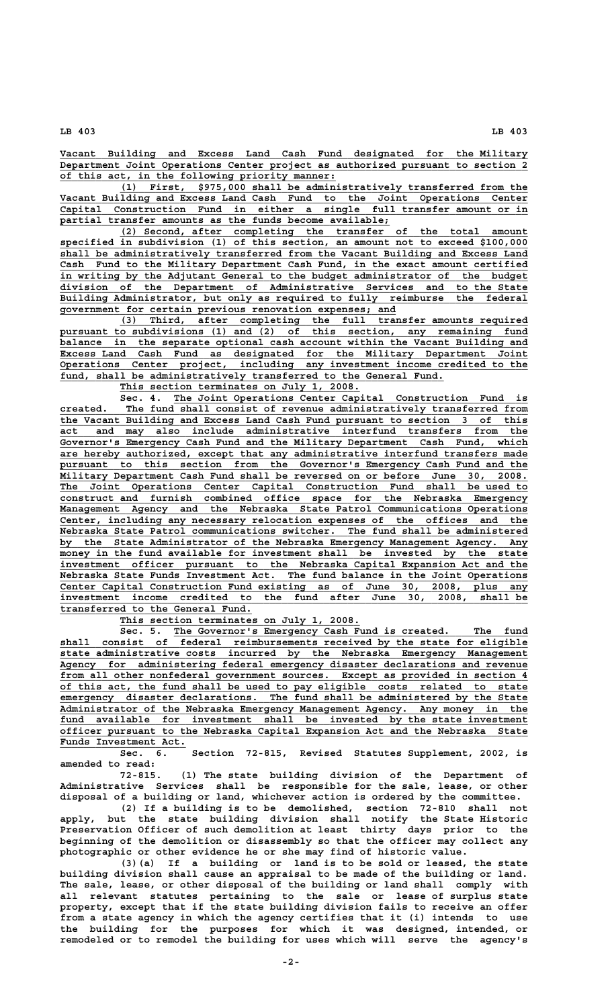**\_\_\_\_\_\_\_\_\_\_\_\_\_\_\_\_\_\_\_\_\_\_\_\_\_\_\_\_\_\_\_\_\_\_\_\_\_\_\_\_\_\_\_\_\_\_\_\_\_\_\_\_\_\_\_\_\_\_\_\_\_\_\_\_\_\_\_\_\_\_\_\_\_\_\_\_\_\_ Vacant Building and Excess Land Cash Fund designated for the Military \_\_\_\_\_\_\_\_\_\_\_\_\_\_\_\_\_\_\_\_\_\_\_\_\_\_\_\_\_\_\_\_\_\_\_\_\_\_\_\_\_\_\_\_\_\_\_\_\_\_\_\_\_\_\_\_\_\_\_\_\_\_\_\_\_\_\_\_\_\_\_\_\_\_\_\_\_\_ Department Joint Operations Center project as authorized pursuant to section 2 \_\_\_\_\_\_\_\_\_\_\_\_\_\_\_\_\_\_\_\_\_\_\_\_\_\_\_\_\_\_\_\_\_\_\_\_\_\_\_\_\_\_\_\_\_\_ of this act, in the following priority manner:**

 **\_\_\_\_\_\_\_\_\_\_\_\_\_\_\_\_\_\_\_\_\_\_\_\_\_\_\_\_\_\_\_\_\_\_\_\_\_\_\_\_\_\_\_\_\_\_\_\_\_\_\_\_\_\_\_\_\_\_\_\_\_\_\_\_\_\_\_\_ (1) First, \$975,000 shall be administratively transferred from the \_\_\_\_\_\_\_\_\_\_\_\_\_\_\_\_\_\_\_\_\_\_\_\_\_\_\_\_\_\_\_\_\_\_\_\_\_\_\_\_\_\_\_\_\_\_\_\_\_\_\_\_\_\_\_\_\_\_\_\_\_\_\_\_\_\_\_\_\_\_\_\_\_\_\_\_\_\_ Vacant Building and Excess Land Cash Fund to the Joint Operations Center \_\_\_\_\_\_\_\_\_\_\_\_\_\_\_\_\_\_\_\_\_\_\_\_\_\_\_\_\_\_\_\_\_\_\_\_\_\_\_\_\_\_\_\_\_\_\_\_\_\_\_\_\_\_\_\_\_\_\_\_\_\_\_\_\_\_\_\_\_\_\_\_\_\_\_\_\_\_ Capital Construction Fund in either a single full transfer amount or in \_\_\_\_\_\_\_\_\_\_\_\_\_\_\_\_\_\_\_\_\_\_\_\_\_\_\_\_\_\_\_\_\_\_\_\_\_\_\_\_\_\_\_\_\_\_\_\_\_\_\_\_\_\_\_ partial transfer amounts as the funds become available;**

 **\_\_\_\_\_\_\_\_\_\_\_\_\_\_\_\_\_\_\_\_\_\_\_\_\_\_\_\_\_\_\_\_\_\_\_\_\_\_\_\_\_\_\_\_\_\_\_\_\_\_\_\_\_\_\_\_\_\_\_\_\_\_\_\_\_\_\_\_ (2) Second, after completing the transfer of the total amount \_\_\_\_\_\_\_\_\_\_\_\_\_\_\_\_\_\_\_\_\_\_\_\_\_\_\_\_\_\_\_\_\_\_\_\_\_\_\_\_\_\_\_\_\_\_\_\_\_\_\_\_\_\_\_\_\_\_\_\_\_\_\_\_\_\_\_\_\_\_\_\_\_\_\_\_\_\_ specified in subdivision (1) of this section, an amount not to exceed \$100,000 \_\_\_\_\_\_\_\_\_\_\_\_\_\_\_\_\_\_\_\_\_\_\_\_\_\_\_\_\_\_\_\_\_\_\_\_\_\_\_\_\_\_\_\_\_\_\_\_\_\_\_\_\_\_\_\_\_\_\_\_\_\_\_\_\_\_\_\_\_\_\_\_\_\_\_\_\_\_ shall be administratively transferred from the Vacant Building and Excess Land \_\_\_\_\_\_\_\_\_\_\_\_\_\_\_\_\_\_\_\_\_\_\_\_\_\_\_\_\_\_\_\_\_\_\_\_\_\_\_\_\_\_\_\_\_\_\_\_\_\_\_\_\_\_\_\_\_\_\_\_\_\_\_\_\_\_\_\_\_\_\_\_\_\_\_\_\_\_ Cash Fund to the Military Department Cash Fund, in the exact amount certified \_\_\_\_\_\_\_\_\_\_\_\_\_\_\_\_\_\_\_\_\_\_\_\_\_\_\_\_\_\_\_\_\_\_\_\_\_\_\_\_\_\_\_\_\_\_\_\_\_\_\_\_\_\_\_\_\_\_\_\_\_\_\_\_\_\_\_\_\_\_\_\_\_\_\_\_\_\_ in writing by the Adjutant General to the budget administrator of the budget \_\_\_\_\_\_\_\_\_\_\_\_\_\_\_\_\_\_\_\_\_\_\_\_\_\_\_\_\_\_\_\_\_\_\_\_\_\_\_\_\_\_\_\_\_\_\_\_\_\_\_\_\_\_\_\_\_\_\_\_\_\_\_\_\_\_\_\_\_\_\_\_\_\_\_\_\_\_ division of the Department of Administrative Services and to the State** Building Administrator, but only as required to fully reimburse the federal  **\_\_\_\_\_\_\_\_\_\_\_\_\_\_\_\_\_\_\_\_\_\_\_\_\_\_\_\_\_\_\_\_\_\_\_\_\_\_\_\_\_\_\_\_\_\_\_\_\_\_\_\_\_\_\_\_ government for certain previous renovation expenses; and**

 **\_\_\_\_\_\_\_\_\_\_\_\_\_\_\_\_\_\_\_\_\_\_\_\_\_\_\_\_\_\_\_\_\_\_\_\_\_\_\_\_\_\_\_\_\_\_\_\_\_\_\_\_\_\_\_\_\_\_\_\_\_\_\_\_\_\_\_\_ (3) Third, after completing the full transfer amounts required** pursuant to subdivisions (1) and (2) of this section, any remaining fund  **\_\_\_\_\_\_\_\_\_\_\_\_\_\_\_\_\_\_\_\_\_\_\_\_\_\_\_\_\_\_\_\_\_\_\_\_\_\_\_\_\_\_\_\_\_\_\_\_\_\_\_\_\_\_\_\_\_\_\_\_\_\_\_\_\_\_\_\_\_\_\_\_\_\_\_\_\_\_ balance in the separate optional cash account within the Vacant Building and \_\_\_\_\_\_\_\_\_\_\_\_\_\_\_\_\_\_\_\_\_\_\_\_\_\_\_\_\_\_\_\_\_\_\_\_\_\_\_\_\_\_\_\_\_\_\_\_\_\_\_\_\_\_\_\_\_\_\_\_\_\_\_\_\_\_\_\_\_\_\_\_\_\_\_\_\_\_ Excess Land Cash Fund as designated for the Military Department Joint \_\_\_\_\_\_\_\_\_\_\_\_\_\_\_\_\_\_\_\_\_\_\_\_\_\_\_\_\_\_\_\_\_\_\_\_\_\_\_\_\_\_\_\_\_\_\_\_\_\_\_\_\_\_\_\_\_\_\_\_\_\_\_\_\_\_\_\_\_\_\_\_\_\_\_\_\_\_ Operations Center project, including any investment income credited to the** fund, shall be administratively transferred to the General Fund.

 **\_\_\_\_\_\_\_\_\_\_\_\_\_\_\_\_\_\_\_\_\_\_\_\_\_\_\_\_\_\_\_\_\_\_\_\_\_\_\_\_ This section terminates on July 1, 2008.**

 **\_\_\_\_\_\_\_\_\_\_\_\_\_\_\_\_\_\_\_\_\_\_\_\_\_\_\_\_\_\_\_\_\_\_\_\_\_\_\_\_\_\_\_\_\_\_\_\_\_\_\_\_\_\_\_\_\_\_\_ Sec. 4. The Joint Operations Center Capital Construction Fund is \_\_\_\_\_\_\_\_\_\_\_\_\_\_\_\_\_\_\_\_\_\_\_\_\_\_\_\_\_\_\_\_\_\_\_\_\_\_\_\_\_\_\_\_\_\_\_\_\_\_\_\_\_\_\_\_\_\_\_\_\_\_\_\_\_\_\_\_\_\_\_\_\_\_\_\_\_\_ created. The fund shall consist of revenue administratively transferred from \_\_\_\_\_\_\_\_\_\_\_\_\_\_\_\_\_\_\_\_\_\_\_\_\_\_\_\_\_\_\_\_\_\_\_\_\_\_\_\_\_\_\_\_\_\_\_\_\_\_\_\_\_\_\_\_\_\_\_\_\_\_\_\_\_\_\_\_\_\_\_\_\_\_\_\_\_\_ the Vacant Building and Excess Land Cash Fund pursuant to section 3 of this \_\_\_\_\_\_\_\_\_\_\_\_\_\_\_\_\_\_\_\_\_\_\_\_\_\_\_\_\_\_\_\_\_\_\_\_\_\_\_\_\_\_\_\_\_\_\_\_\_\_\_\_\_\_\_\_\_\_\_\_\_\_\_\_\_\_\_\_\_\_\_\_\_\_\_\_\_\_ act and may also include administrative interfund transfers from the \_\_\_\_\_\_\_\_\_\_\_\_\_\_\_\_\_\_\_\_\_\_\_\_\_\_\_\_\_\_\_\_\_\_\_\_\_\_\_\_\_\_\_\_\_\_\_\_\_\_\_\_\_\_\_\_\_\_\_\_\_\_\_\_\_\_\_\_\_\_\_\_\_\_\_\_\_\_ Governor's Emergency Cash Fund and the Military Department Cash Fund, which \_\_\_\_\_\_\_\_\_\_\_\_\_\_\_\_\_\_\_\_\_\_\_\_\_\_\_\_\_\_\_\_\_\_\_\_\_\_\_\_\_\_\_\_\_\_\_\_\_\_\_\_\_\_\_\_\_\_\_\_\_\_\_\_\_\_\_\_\_\_\_\_\_\_\_\_\_\_ are hereby authorized, except that any administrative interfund transfers made \_\_\_\_\_\_\_\_\_\_\_\_\_\_\_\_\_\_\_\_\_\_\_\_\_\_\_\_\_\_\_\_\_\_\_\_\_\_\_\_\_\_\_\_\_\_\_\_\_\_\_\_\_\_\_\_\_\_\_\_\_\_\_\_\_\_\_\_\_\_\_\_\_\_\_\_\_\_ pursuant to this section from the Governor's Emergency Cash Fund and the \_\_\_\_\_\_\_\_\_\_\_\_\_\_\_\_\_\_\_\_\_\_\_\_\_\_\_\_\_\_\_\_\_\_\_\_\_\_\_\_\_\_\_\_\_\_\_\_\_\_\_\_\_\_\_\_\_\_\_\_\_\_\_\_\_\_\_\_\_\_\_\_\_\_\_\_\_\_ Military Department Cash Fund shall be reversed on or before June 30, 2008. \_\_\_\_\_\_\_\_\_\_\_\_\_\_\_\_\_\_\_\_\_\_\_\_\_\_\_\_\_\_\_\_\_\_\_\_\_\_\_\_\_\_\_\_\_\_\_\_\_\_\_\_\_\_\_\_\_\_\_\_\_\_\_\_\_\_\_\_\_\_\_\_\_\_\_\_\_\_ The Joint Operations Center Capital Construction Fund shall be used to \_\_\_\_\_\_\_\_\_\_\_\_\_\_\_\_\_\_\_\_\_\_\_\_\_\_\_\_\_\_\_\_\_\_\_\_\_\_\_\_\_\_\_\_\_\_\_\_\_\_\_\_\_\_\_\_\_\_\_\_\_\_\_\_\_\_\_\_\_\_\_\_\_\_\_\_\_\_ construct and furnish combined office space for the Nebraska Emergency \_\_\_\_\_\_\_\_\_\_\_\_\_\_\_\_\_\_\_\_\_\_\_\_\_\_\_\_\_\_\_\_\_\_\_\_\_\_\_\_\_\_\_\_\_\_\_\_\_\_\_\_\_\_\_\_\_\_\_\_\_\_\_\_\_\_\_\_\_\_\_\_\_\_\_\_\_\_ Management Agency and the Nebraska State Patrol Communications Operations \_\_\_\_\_\_\_\_\_\_\_\_\_\_\_\_\_\_\_\_\_\_\_\_\_\_\_\_\_\_\_\_\_\_\_\_\_\_\_\_\_\_\_\_\_\_\_\_\_\_\_\_\_\_\_\_\_\_\_\_\_\_\_\_\_\_\_\_\_\_\_\_\_\_\_\_\_\_ Center, including any necessary relocation expenses of the offices and the \_\_\_\_\_\_\_\_\_\_\_\_\_\_\_\_\_\_\_\_\_\_\_\_\_\_\_\_\_\_\_\_\_\_\_\_\_\_\_\_\_\_\_\_\_\_\_\_\_\_\_\_\_\_\_\_\_\_\_\_\_\_\_\_\_\_\_\_\_\_\_\_\_\_\_\_\_\_ Nebraska State Patrol communications switcher. The fund shall be administered \_\_\_\_\_\_\_\_\_\_\_\_\_\_\_\_\_\_\_\_\_\_\_\_\_\_\_\_\_\_\_\_\_\_\_\_\_\_\_\_\_\_\_\_\_\_\_\_\_\_\_\_\_\_\_\_\_\_\_\_\_\_\_\_\_\_\_\_\_\_\_\_\_\_\_\_\_\_ by the State Administrator of the Nebraska Emergency Management Agency. Any** money in the fund available for investment shall be invested by the state  **\_\_\_\_\_\_\_\_\_\_\_\_\_\_\_\_\_\_\_\_\_\_\_\_\_\_\_\_\_\_\_\_\_\_\_\_\_\_\_\_\_\_\_\_\_\_\_\_\_\_\_\_\_\_\_\_\_\_\_\_\_\_\_\_\_\_\_\_\_\_\_\_\_\_\_\_\_\_ investment officer pursuant to the Nebraska Capital Expansion Act and the \_\_\_\_\_\_\_\_\_\_\_\_\_\_\_\_\_\_\_\_\_\_\_\_\_\_\_\_\_\_\_\_\_\_\_\_\_\_\_\_\_\_\_\_\_\_\_\_\_\_\_\_\_\_\_\_\_\_\_\_\_\_\_\_\_\_\_\_\_\_\_\_\_\_\_\_\_\_ Nebraska State Funds Investment Act. The fund balance in the Joint Operations \_\_\_\_\_\_\_\_\_\_\_\_\_\_\_\_\_\_\_\_\_\_\_\_\_\_\_\_\_\_\_\_\_\_\_\_\_\_\_\_\_\_\_\_\_\_\_\_\_\_\_\_\_\_\_\_\_\_\_\_\_\_\_\_\_\_\_\_\_\_\_\_\_\_\_\_\_\_ Center Capital Construction Fund existing as of June 30, 2008, plus any \_\_\_\_\_\_\_\_\_\_\_\_\_\_\_\_\_\_\_\_\_\_\_\_\_\_\_\_\_\_\_\_\_\_\_\_\_\_\_\_\_\_\_\_\_\_\_\_\_\_\_\_\_\_\_\_\_\_\_\_\_\_\_\_\_\_\_\_\_\_\_\_\_\_\_\_\_\_ investment income credited to the fund after June 30, 2008, shall be \_\_\_\_\_\_\_\_\_\_\_\_\_\_\_\_\_\_\_\_\_\_\_\_\_\_\_\_\_\_\_\_ transferred to the General Fund.**

 **\_\_\_\_\_\_\_\_\_\_\_\_\_\_\_\_\_\_\_\_\_\_\_\_\_\_\_\_\_\_\_\_\_\_\_\_\_\_\_\_ This section terminates on July 1, 2008.**

 **\_\_\_\_\_\_\_\_\_\_\_\_\_\_\_\_\_\_\_\_\_\_\_\_\_\_\_\_\_\_\_\_\_\_\_\_\_\_\_\_\_\_\_\_\_\_\_\_\_\_\_\_\_\_\_\_\_\_\_ Sec. 5. The Governor's Emergency Cash Fund is created. The fund \_\_\_\_\_\_\_\_\_\_\_\_\_\_\_\_\_\_\_\_\_\_\_\_\_\_\_\_\_\_\_\_\_\_\_\_\_\_\_\_\_\_\_\_\_\_\_\_\_\_\_\_\_\_\_\_\_\_\_\_\_\_\_\_\_\_\_\_\_\_\_\_\_\_\_\_\_\_ shall consist of federal reimbursements received by the state for eligible \_\_\_\_\_\_\_\_\_\_\_\_\_\_\_\_\_\_\_\_\_\_\_\_\_\_\_\_\_\_\_\_\_\_\_\_\_\_\_\_\_\_\_\_\_\_\_\_\_\_\_\_\_\_\_\_\_\_\_\_\_\_\_\_\_\_\_\_\_\_\_\_\_\_\_\_\_\_ state administrative costs incurred by the Nebraska Emergency Management \_\_\_\_\_\_\_\_\_\_\_\_\_\_\_\_\_\_\_\_\_\_\_\_\_\_\_\_\_\_\_\_\_\_\_\_\_\_\_\_\_\_\_\_\_\_\_\_\_\_\_\_\_\_\_\_\_\_\_\_\_\_\_\_\_\_\_\_\_\_\_\_\_\_\_\_\_\_ Agency for administering federal emergency disaster declarations and revenue \_\_\_\_\_\_\_\_\_\_\_\_\_\_\_\_\_\_\_\_\_\_\_\_\_\_\_\_\_\_\_\_\_\_\_\_\_\_\_\_\_\_\_\_\_\_\_\_\_\_\_\_\_\_\_\_\_\_\_\_\_\_\_\_\_\_\_\_\_\_\_\_\_\_\_\_\_\_ from all other nonfederal government sources. Except as provided in section 4 \_\_\_\_\_\_\_\_\_\_\_\_\_\_\_\_\_\_\_\_\_\_\_\_\_\_\_\_\_\_\_\_\_\_\_\_\_\_\_\_\_\_\_\_\_\_\_\_\_\_\_\_\_\_\_\_\_\_\_\_\_\_\_\_\_\_\_\_\_\_\_\_\_\_\_\_\_\_ of this act, the fund shall be used to pay eligible costs related to state \_\_\_\_\_\_\_\_\_\_\_\_\_\_\_\_\_\_\_\_\_\_\_\_\_\_\_\_\_\_\_\_\_\_\_\_\_\_\_\_\_\_\_\_\_\_\_\_\_\_\_\_\_\_\_\_\_\_\_\_\_\_\_\_\_\_\_\_\_\_\_\_\_\_\_\_\_\_ emergency disaster declarations. The fund shall be administered by the State \_\_\_\_\_\_\_\_\_\_\_\_\_\_\_\_\_\_\_\_\_\_\_\_\_\_\_\_\_\_\_\_\_\_\_\_\_\_\_\_\_\_\_\_\_\_\_\_\_\_\_\_\_\_\_\_\_\_\_\_\_\_\_\_\_\_\_\_\_\_\_\_\_\_\_\_\_\_ Administrator of the Nebraska Emergency Management Agency. Any money in the \_\_\_\_\_\_\_\_\_\_\_\_\_\_\_\_\_\_\_\_\_\_\_\_\_\_\_\_\_\_\_\_\_\_\_\_\_\_\_\_\_\_\_\_\_\_\_\_\_\_\_\_\_\_\_\_\_\_\_\_\_\_\_\_\_\_\_\_\_\_\_\_\_\_\_\_\_\_ fund available for investment shall be invested by the state investment \_\_\_\_\_\_\_\_\_\_\_\_\_\_\_\_\_\_\_\_\_\_\_\_\_\_\_\_\_\_\_\_\_\_\_\_\_\_\_\_\_\_\_\_\_\_\_\_\_\_\_\_\_\_\_\_\_\_\_\_\_\_\_\_\_\_\_\_\_\_\_\_\_\_\_\_\_\_ officer pursuant to the Nebraska Capital Expansion Act and the Nebraska State \_\_\_\_\_\_\_\_\_\_\_\_\_\_\_\_\_\_\_\_\_ Funds Investment Act.**

**Sec. 6. Section 72-815, Revised Statutes Supplement, 2002, is amended to read:**

**72-815. (1) The state building division of the Department of Administrative Services shall be responsible for the sale, lease, or other disposal of a building or land, whichever action is ordered by the committee.**

**(2) If a building is to be demolished, section 72-810 shall not apply, but the state building division shall notify the State Historic Preservation Officer of such demolition at least thirty days prior to the beginning of the demolition or disassembly so that the officer may collect any photographic or other evidence he or she may find of historic value.**

**(3)(a) If a building or land is to be sold or leased, the state building division shall cause an appraisal to be made of the building or land. The sale, lease, or other disposal of the building or land shall comply with all relevant statutes pertaining to the sale or lease of surplus state property, except that if the state building division fails to receive an offer from a state agency in which the agency certifies that it (i) intends to use the building for the purposes for which it was designed, intended, or remodeled or to remodel the building for uses which will serve the agency's**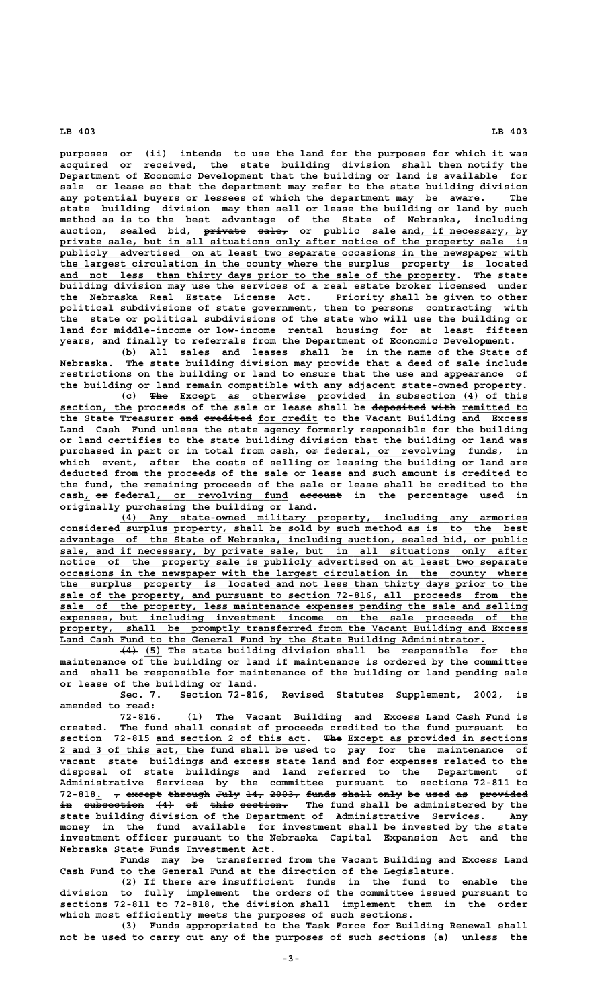**purposes or (ii) intends to use the land for the purposes for which it was acquired or received, the state building division shall then notify the Department of Economic Development that the building or land is available for sale or lease so that the department may refer to the state building division any potential buyers or lessees of which the department may be aware. The state building division may then sell or lease the building or land by such method as is to the best advantage of the State of Nebraska, including** auction, sealed bid, private sale, or public sale and, if necessary, by private sale, but in all situations only after notice of the property sale is  **\_\_\_\_\_\_\_\_\_\_\_\_\_\_\_\_\_\_\_\_\_\_\_\_\_\_\_\_\_\_\_\_\_\_\_\_\_\_\_\_\_\_\_\_\_\_\_\_\_\_\_\_\_\_\_\_\_\_\_\_\_\_\_\_\_\_\_\_\_\_\_\_\_\_\_\_\_\_ publicly advertised on at least two separate occasions in the newspaper with \_\_\_\_\_\_\_\_\_\_\_\_\_\_\_\_\_\_\_\_\_\_\_\_\_\_\_\_\_\_\_\_\_\_\_\_\_\_\_\_\_\_\_\_\_\_\_\_\_\_\_\_\_\_\_\_\_\_\_\_\_\_\_\_\_\_\_\_\_\_\_\_\_\_\_\_\_\_ the largest circulation in the county where the surplus property is located \_\_\_\_\_\_\_\_\_\_\_\_\_\_\_\_\_\_\_\_\_\_\_\_\_\_\_\_\_\_\_\_\_\_\_\_\_\_\_\_\_\_\_\_\_\_\_\_\_\_\_\_\_\_\_\_\_\_\_\_\_\_\_\_\_\_ and not less than thirty days prior to the sale of the property. The state building division may use the services of a real estate broker licensed under the Nebraska Real Estate License Act. Priority shall be given to other political subdivisions of state government, then to persons contracting with the state or political subdivisions of the state who will use the building or land for middle-income or low-income rental housing for at least fifteen years, and finally to referrals from the Department of Economic Development.**

**(b) All sales and leases shall be in the name of the State of Nebraska. The state building division may provide that a deed of sale include restrictions on the building or land to ensure that the use and appearance of the building or land remain compatible with any adjacent state-owned property.**

 **——— \_\_\_\_\_\_\_\_\_\_\_\_\_\_\_\_\_\_\_\_\_\_\_\_\_\_\_\_\_\_\_\_\_\_\_\_\_\_\_\_\_\_\_\_\_\_\_\_\_\_\_\_\_\_\_\_\_\_ (c) The Except as otherwise provided in subsection (4) of this** section, the proceeds of the sale or lease shall be deposited with remitted to the State Treasurer and eredited for credit to the Vacant Building and Excess **Land Cash Fund unless the state agency formerly responsible for the building or land certifies to the state building division that the building or land was** purchased in part or in total from cash<sub>1</sub> or federal<sub>1</sub> or revolving funds, in **which event, after the costs of selling or leasing the building or land are deducted from the proceeds of the sale or lease and such amount is credited to the fund, the remaining proceeds of the sale or lease shall be credited to the \_ —— \_\_\_\_\_\_\_\_\_\_\_\_\_\_\_\_\_\_\_\_\_\_ ——————— cash, or federal, or revolving fund account in the percentage used in originally purchasing the building or land.**

 **\_\_\_\_\_\_\_\_\_\_\_\_\_\_\_\_\_\_\_\_\_\_\_\_\_\_\_\_\_\_\_\_\_\_\_\_\_\_\_\_\_\_\_\_\_\_\_\_\_\_\_\_\_\_\_\_\_\_\_\_\_\_\_\_\_\_\_\_ (4) Any state-owned military property, including any armories \_\_\_\_\_\_\_\_\_\_\_\_\_\_\_\_\_\_\_\_\_\_\_\_\_\_\_\_\_\_\_\_\_\_\_\_\_\_\_\_\_\_\_\_\_\_\_\_\_\_\_\_\_\_\_\_\_\_\_\_\_\_\_\_\_\_\_\_\_\_\_\_\_\_\_\_\_\_ considered surplus property, shall be sold by such method as is to the best \_\_\_\_\_\_\_\_\_\_\_\_\_\_\_\_\_\_\_\_\_\_\_\_\_\_\_\_\_\_\_\_\_\_\_\_\_\_\_\_\_\_\_\_\_\_\_\_\_\_\_\_\_\_\_\_\_\_\_\_\_\_\_\_\_\_\_\_\_\_\_\_\_\_\_\_\_\_ advantage of the State of Nebraska, including auction, sealed bid, or public \_\_\_\_\_\_\_\_\_\_\_\_\_\_\_\_\_\_\_\_\_\_\_\_\_\_\_\_\_\_\_\_\_\_\_\_\_\_\_\_\_\_\_\_\_\_\_\_\_\_\_\_\_\_\_\_\_\_\_\_\_\_\_\_\_\_\_\_\_\_\_\_\_\_\_\_\_\_ sale, and if necessary, by private sale, but in all situations only after \_\_\_\_\_\_\_\_\_\_\_\_\_\_\_\_\_\_\_\_\_\_\_\_\_\_\_\_\_\_\_\_\_\_\_\_\_\_\_\_\_\_\_\_\_\_\_\_\_\_\_\_\_\_\_\_\_\_\_\_\_\_\_\_\_\_\_\_\_\_\_\_\_\_\_\_\_\_ notice of the property sale is publicly advertised on at least two separate** occasions in the newspaper with the largest circulation in the county where the surplus property is located and not less than thirty days prior to the sale of the property, and pursuant to section 72-816, all proceeds from the  **\_\_\_\_\_\_\_\_\_\_\_\_\_\_\_\_\_\_\_\_\_\_\_\_\_\_\_\_\_\_\_\_\_\_\_\_\_\_\_\_\_\_\_\_\_\_\_\_\_\_\_\_\_\_\_\_\_\_\_\_\_\_\_\_\_\_\_\_\_\_\_\_\_\_\_\_\_\_ sale of the property, less maintenance expenses pending the sale and selling \_\_\_\_\_\_\_\_\_\_\_\_\_\_\_\_\_\_\_\_\_\_\_\_\_\_\_\_\_\_\_\_\_\_\_\_\_\_\_\_\_\_\_\_\_\_\_\_\_\_\_\_\_\_\_\_\_\_\_\_\_\_\_\_\_\_\_\_\_\_\_\_\_\_\_\_\_\_ expenses, but including investment income on the sale proceeds of the \_\_\_\_\_\_\_\_\_\_\_\_\_\_\_\_\_\_\_\_\_\_\_\_\_\_\_\_\_\_\_\_\_\_\_\_\_\_\_\_\_\_\_\_\_\_\_\_\_\_\_\_\_\_\_\_\_\_\_\_\_\_\_\_\_\_\_\_\_\_\_\_\_\_\_\_\_\_ property, shall be promptly transferred from the Vacant Building and Excess \_\_\_\_\_\_\_\_\_\_\_\_\_\_\_\_\_\_\_\_\_\_\_\_\_\_\_\_\_\_\_\_\_\_\_\_\_\_\_\_\_\_\_\_\_\_\_\_\_\_\_\_\_\_\_\_\_\_\_\_\_\_\_\_\_\_\_\_\_\_\_ Land Cash Fund to the General Fund by the State Building Administrator.**

 **——— \_\_\_ (4) (5) The state building division shall be responsible for the maintenance of the building or land if maintenance is ordered by the committee and shall be responsible for maintenance of the building or land pending sale or lease of the building or land.**

**Sec. 7. Section 72-816, Revised Statutes Supplement, 2002, is amended to read:**

**72-816. (1) The Vacant Building and Excess Land Cash Fund is created. The fund shall consist of proceeds credited to the fund pursuant to \_\_\_\_\_\_\_\_\_\_\_\_\_\_\_\_\_\_\_\_\_\_\_\_\_ ——— \_\_\_\_\_\_\_\_\_\_\_\_\_\_\_\_\_\_\_\_\_\_\_\_\_\_\_\_\_\_ section 72-815 and section 2 of this act. The Except as provided in sections \_\_\_\_\_\_\_\_\_\_\_\_\_\_\_\_\_\_\_\_\_\_\_\_ 2 and 3 of this act, the fund shall be used to pay for the maintenance of vacant state buildings and excess state land and for expenses related to the disposal of state buildings and land referred to the Department of Administrative Services by the committee pursuant to sections 72-811 to 72-818. , except through July 14, 2003, funds shall only be used as provided \_ — —————— ——————— ———— ——— ————— ————— ————— ———— —— ———— —— ——————— in subsection (4) of this section. The fund shall be administered by the state building division of the Department of Administrative Services. Any money in the fund available for investment shall be invested by the state investment officer pursuant to the Nebraska Capital Expansion Act and the Nebraska State Funds Investment Act.**

**Funds may be transferred from the Vacant Building and Excess Land Cash Fund to the General Fund at the direction of the Legislature.**

**(2) If there are insufficient funds in the fund to enable the division to fully implement the orders of the committee issued pursuant to sections 72-811 to 72-818, the division shall implement them in the order which most efficiently meets the purposes of such sections.**

**(3) Funds appropriated to the Task Force for Building Renewal shall not be used to carry out any of the purposes of such sections (a) unless the**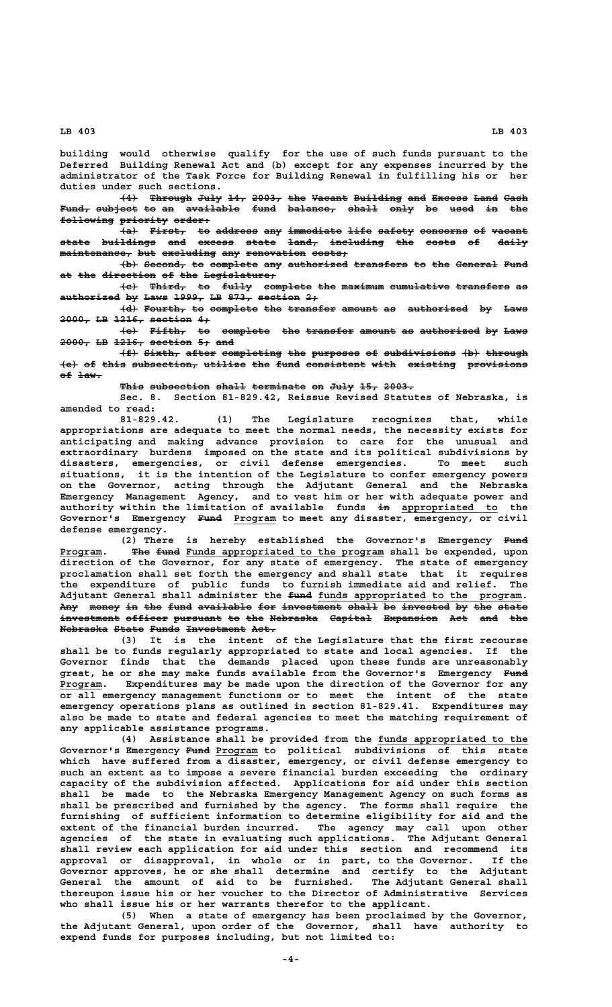**building would otherwise qualify for the use of such funds pursuant to the Deferred Building Renewal Act and (b) except for any expenses incurred by the administrator of the Task Force for Building Renewal in fulfilling his or her duties under such sections.**

**(4) Through July 14, 2003, the Vacant Building and Excess Land Cash ——— ——————— ———— ——— ————— ——— —————— ———————— ——— —————— ———— ————** F<del>und, subject to an available fund balance, shall only be used <del>in the</del></del>  $f$ ollowing priority order:

**(a) First, to address any immediate life safety concerns of vacant ——— —————— —— ——————— ——— ————————— ———— —————— ———————— —— ————— state buildings and excess state land, including the costs of daily ————— ————————— ——— —————— ————— ————— ————————— ——— ————— —— ————**  $m$ aintenance, but excluding any renovation costs;

 $+b$  Second, to complete any authorized transfers to the General Fund at the direction of the Legislature,

**(c) Third, to fully complete the maximum cumulative transfers as ——— —————— —— ————— ———————— ——— ——————— —————————— ————————— — authorized by Laws 1999, LB 873, section 2; —————————— —— ———— ————— —— ———— ——————— ——**

 $\{d\}$  Fourth, to complete the transfer amount as authorized by Laws **2000, LB 1216, section 4; ————— —— ————— ——————— ——**

 $\overline{e}$  Fifth, to complete the transfer amount as authorized by Laws **2000, LB 1216, section 5; and ————— —— ————— ——————— —— ———**

**(f) Sixth, after completing the purposes of subdivisions (b) through ——— —————— ————— —————————— ——— ———————— —— ———————————— ——— ———————**  $\left\{\text{e}\right\}$  of this subsection, utilize the fund consistent with existing provisions of law.

This subsection shall terminate on July 15, 2003.

**Sec. 8. Section 81-829.42, Reissue Revised Statutes of Nebraska, is amended to read:**

**81-829.42. (1) The Legislature recognizes that, while appropriations are adequate to meet the normal needs, the necessity exists for anticipating and making advance provision to care for the unusual and extraordinary burdens imposed on the state and its political subdivisions by disasters, emergencies, or civil defense emergencies. To meet such situations, it is the intention of the Legislature to confer emergency powers on the Governor, acting through the Adjutant General and the Nebraska Emergency Management Agency, and to vest him or her with adequate power and** authority within the limitation of available funds in appropriated to the Governor's Emergency Fund Program to meet any disaster, emergency, or civil  **defense emergency.**

(2) There is hereby established the Governor's Emergency Fund Program. <del>The fund</del> Funds appropriated to the program shall be expended, upon **direction of the Governor, for any state of emergency. The state of emergency proclamation shall set forth the emergency and shall state that it requires the expenditure of public funds to furnish immediate aid and relief. The**  $\overline{\text{Adjustant}}$  General shall administer the  $\text{funds}$  appropriated to the program. Any money in the fund available for investment shall be invested by the state investment officer pursuant to the Nebraska Capital Expansion Act and the **Nebraska State Funds Investment Act. ———————— ————— ————— —————————— ————**

**(3) It is the intent of the Legislature that the first recourse shall be to funds regularly appropriated to state and local agencies. If the Governor finds that the demands placed upon these funds are unreasonably** great, he or she may make funds available from the Governor's Emergency Fund  **\_\_\_\_\_\_\_ Program. Expenditures may be made upon the direction of the Governor for any or all emergency management functions or to meet the intent of the state emergency operations plans as outlined in section 81-829.41. Expenditures may also be made to state and federal agencies to meet the matching requirement of any applicable assistance programs.**

**(4) Assistance shall be provided from the funds appropriated to the \_\_\_\_\_\_\_\_\_\_\_\_\_\_\_\_\_\_\_\_\_\_\_\_\_ ———— \_\_\_\_\_\_\_ Governor's Emergency Fund Program to political subdivisions of this state which have suffered from a disaster, emergency, or civil defense emergency to such an extent as to impose a severe financial burden exceeding the ordinary capacity of the subdivision affected. Applications for aid under this section shall be made to the Nebraska Emergency Management Agency on such forms as shall be prescribed and furnished by the agency. The forms shall require the furnishing of sufficient information to determine eligibility for aid and the extent of the financial burden incurred. The agency may call upon other agencies of the state in evaluating such applications. The Adjutant General shall review each application for aid under this section and recommend its approval or disapproval, in whole or in part, to the Governor. If the Governor approves, he or she shall determine and certify to the Adjutant General the amount of aid to be furnished. The Adjutant General shall thereupon issue his or her voucher to the Director of Administrative Services who shall issue his or her warrants therefor to the applicant.**

**(5) When a state of emergency has been proclaimed by the Governor, the Adjutant General, upon order of the Governor, shall have authority to expend funds for purposes including, but not limited to:**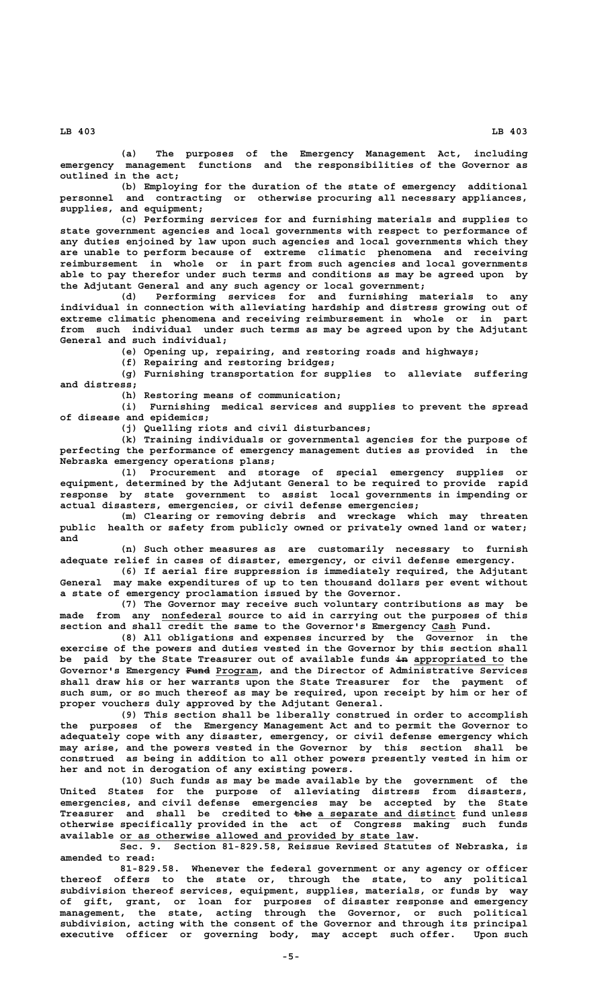**(a) The purposes of the Emergency Management Act, including emergency management functions and the responsibilities of the Governor as outlined in the act;**

**(b) Employing for the duration of the state of emergency additional personnel and contracting or otherwise procuring all necessary appliances, supplies, and equipment;**

**(c) Performing services for and furnishing materials and supplies to state government agencies and local governments with respect to performance of any duties enjoined by law upon such agencies and local governments which they are unable to perform because of extreme climatic phenomena and receiving reimbursement in whole or in part from such agencies and local governments able to pay therefor under such terms and conditions as may be agreed upon by the Adjutant General and any such agency or local government;**

**(d) Performing services for and furnishing materials to any individual in connection with alleviating hardship and distress growing out of extreme climatic phenomena and receiving reimbursement in whole or in part from such individual under such terms as may be agreed upon by the Adjutant General and such individual;**

**(e) Opening up, repairing, and restoring roads and highways;**

**(f) Repairing and restoring bridges;**

**(g) Furnishing transportation for supplies to alleviate suffering and distress;**

**(h) Restoring means of communication;**

**(i) Furnishing medical services and supplies to prevent the spread of disease and epidemics;**

**(j) Quelling riots and civil disturbances;**

**(k) Training individuals or governmental agencies for the purpose of perfecting the performance of emergency management duties as provided in the Nebraska emergency operations plans;**

**(l) Procurement and storage of special emergency supplies or equipment, determined by the Adjutant General to be required to provide rapid response by state government to assist local governments in impending or actual disasters, emergencies, or civil defense emergencies;**

**(m) Clearing or removing debris and wreckage which may threaten public health or safety from publicly owned or privately owned land or water; and**

**(n) Such other measures as are customarily necessary to furnish adequate relief in cases of disaster, emergency, or civil defense emergency.**

**(6) If aerial fire suppression is immediately required, the Adjutant General may make expenditures of up to ten thousand dollars per event without a state of emergency proclamation issued by the Governor.**

**(7) The Governor may receive such voluntary contributions as may be** made from any nonfederal source to aid in carrying out the purposes of this section and shall credit the same to the Governor's Emergency Cash Fund.

**(8) All obligations and expenses incurred by the Governor in the exercise of the powers and duties vested in the Governor by this section shall** be paid by the State Treasurer out of available funds in appropriated to the  **———— \_\_\_\_\_\_\_ Governor's Emergency Fund Program, and the Director of Administrative Services shall draw his or her warrants upon the State Treasurer for the payment of such sum, or so much thereof as may be required, upon receipt by him or her of proper vouchers duly approved by the Adjutant General.**

**(9) This section shall be liberally construed in order to accomplish the purposes of the Emergency Management Act and to permit the Governor to adequately cope with any disaster, emergency, or civil defense emergency which may arise, and the powers vested in the Governor by this section shall be construed as being in addition to all other powers presently vested in him or her and not in derogation of any existing powers.**

**(10) Such funds as may be made available by the government of the United States for the purpose of alleviating distress from disasters, emergencies, and civil defense emergencies may be accepted by the State ——— \_\_\_\_\_\_\_\_\_\_\_\_\_\_\_\_\_\_\_\_\_\_\_ Treasurer and shall be credited to the a separate and distinct fund unless otherwise specifically provided in the act of Congress making such funds** available or as otherwise allowed and provided by state law.

**Sec. 9. Section 81-829.58, Reissue Revised Statutes of Nebraska, is amended to read:**

**81-829.58. Whenever the federal government or any agency or officer thereof offers to the state or, through the state, to any political subdivision thereof services, equipment, supplies, materials, or funds by way of gift, grant, or loan for purposes of disaster response and emergency management, the state, acting through the Governor, or such political subdivision, acting with the consent of the Governor and through its principal executive officer or governing body, may accept such offer. Upon such**

 **LB 403 LB 403**